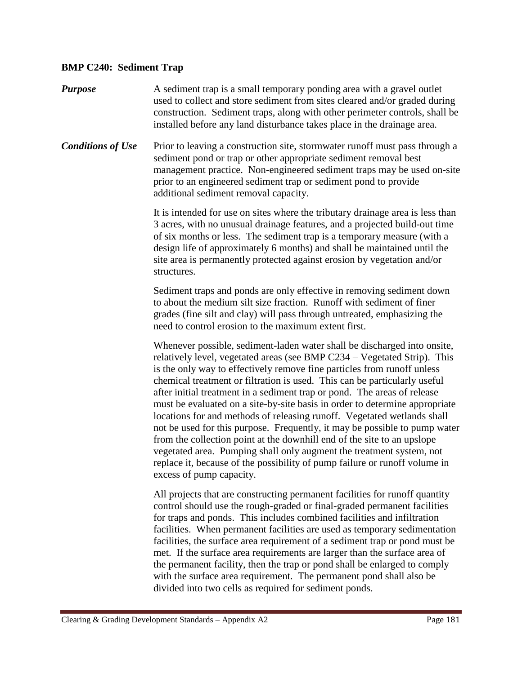## **BMP C240: Sediment Trap**

*Purpose* A sediment trap is a small temporary ponding area with a gravel outlet used to collect and store sediment from sites cleared and/or graded during construction. Sediment traps, along with other perimeter controls, shall be installed before any land disturbance takes place in the drainage area. **Conditions of Use** Prior to leaving a construction site, stormwater runoff must pass through a sediment pond or trap or other appropriate sediment removal best management practice. Non-engineered sediment traps may be used on-site prior to an engineered sediment trap or sediment pond to provide additional sediment removal capacity. It is intended for use on sites where the tributary drainage area is less than 3 acres, with no unusual drainage features, and a projected build-out time of six months or less. The sediment trap is a temporary measure (with a design life of approximately 6 months) and shall be maintained until the site area is permanently protected against erosion by vegetation and/or structures. Sediment traps and ponds are only effective in removing sediment down to about the medium silt size fraction. Runoff with sediment of finer grades (fine silt and clay) will pass through untreated, emphasizing the need to control erosion to the maximum extent first. Whenever possible, sediment-laden water shall be discharged into onsite, relatively level, vegetated areas (see BMP C234 – Vegetated Strip). This is the only way to effectively remove fine particles from runoff unless chemical treatment or filtration is used. This can be particularly useful after initial treatment in a sediment trap or pond. The areas of release must be evaluated on a site-by-site basis in order to determine appropriate locations for and methods of releasing runoff. Vegetated wetlands shall not be used for this purpose. Frequently, it may be possible to pump water from the collection point at the downhill end of the site to an upslope vegetated area. Pumping shall only augment the treatment system, not replace it, because of the possibility of pump failure or runoff volume in excess of pump capacity. All projects that are constructing permanent facilities for runoff quantity control should use the rough-graded or final-graded permanent facilities for traps and ponds. This includes combined facilities and infiltration

facilities. When permanent facilities are used as temporary sedimentation facilities, the surface area requirement of a sediment trap or pond must be met. If the surface area requirements are larger than the surface area of the permanent facility, then the trap or pond shall be enlarged to comply with the surface area requirement. The permanent pond shall also be divided into two cells as required for sediment ponds.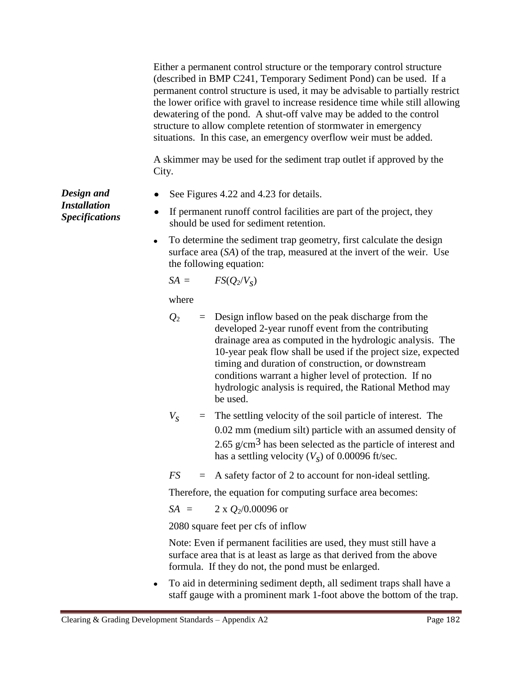|                                                            |                                                                                | Either a permanent control structure or the temporary control structure<br>(described in BMP C241, Temporary Sediment Pond) can be used. If a<br>permanent control structure is used, it may be advisable to partially restrict<br>the lower orifice with gravel to increase residence time while still allowing<br>dewatering of the pond. A shut-off valve may be added to the control<br>structure to allow complete retention of stormwater in emergency<br>situations. In this case, an emergency overflow weir must be added. |          |                                                                                                                                                                                                                                                                                                                                                                                                                                 |  |
|------------------------------------------------------------|--------------------------------------------------------------------------------|-------------------------------------------------------------------------------------------------------------------------------------------------------------------------------------------------------------------------------------------------------------------------------------------------------------------------------------------------------------------------------------------------------------------------------------------------------------------------------------------------------------------------------------|----------|---------------------------------------------------------------------------------------------------------------------------------------------------------------------------------------------------------------------------------------------------------------------------------------------------------------------------------------------------------------------------------------------------------------------------------|--|
|                                                            | A skimmer may be used for the sediment trap outlet if approved by the<br>City. |                                                                                                                                                                                                                                                                                                                                                                                                                                                                                                                                     |          |                                                                                                                                                                                                                                                                                                                                                                                                                                 |  |
| Design and<br><b>Installation</b><br><b>Specifications</b> | ٠                                                                              | See Figures 4.22 and 4.23 for details.                                                                                                                                                                                                                                                                                                                                                                                                                                                                                              |          |                                                                                                                                                                                                                                                                                                                                                                                                                                 |  |
|                                                            | ٠                                                                              | If permanent runoff control facilities are part of the project, they<br>should be used for sediment retention.                                                                                                                                                                                                                                                                                                                                                                                                                      |          |                                                                                                                                                                                                                                                                                                                                                                                                                                 |  |
|                                                            | ٠                                                                              | To determine the sediment trap geometry, first calculate the design<br>surface area (SA) of the trap, measured at the invert of the weir. Use<br>the following equation:                                                                                                                                                                                                                                                                                                                                                            |          |                                                                                                                                                                                                                                                                                                                                                                                                                                 |  |
|                                                            |                                                                                | $SA =$                                                                                                                                                                                                                                                                                                                                                                                                                                                                                                                              |          | $FS(Q_2/V_s)$                                                                                                                                                                                                                                                                                                                                                                                                                   |  |
|                                                            |                                                                                | where                                                                                                                                                                                                                                                                                                                                                                                                                                                                                                                               |          |                                                                                                                                                                                                                                                                                                                                                                                                                                 |  |
|                                                            |                                                                                | $\mathcal{Q}_2$                                                                                                                                                                                                                                                                                                                                                                                                                                                                                                                     | $=$      | Design inflow based on the peak discharge from the<br>developed 2-year runoff event from the contributing<br>drainage area as computed in the hydrologic analysis. The<br>10-year peak flow shall be used if the project size, expected<br>timing and duration of construction, or downstream<br>conditions warrant a higher level of protection. If no<br>hydrologic analysis is required, the Rational Method may<br>be used. |  |
|                                                            |                                                                                | $V_{S}$                                                                                                                                                                                                                                                                                                                                                                                                                                                                                                                             | $=$      | The settling velocity of the soil particle of interest. The<br>0.02 mm (medium silt) particle with an assumed density of<br>2.65 $g/cm3$ has been selected as the particle of interest and<br>has a settling velocity $(Vs)$ of 0.00096 ft/sec.                                                                                                                                                                                 |  |
|                                                            |                                                                                | FS                                                                                                                                                                                                                                                                                                                                                                                                                                                                                                                                  | $\equiv$ | A safety factor of 2 to account for non-ideal settling.                                                                                                                                                                                                                                                                                                                                                                         |  |
|                                                            |                                                                                |                                                                                                                                                                                                                                                                                                                                                                                                                                                                                                                                     |          | Therefore, the equation for computing surface area becomes:                                                                                                                                                                                                                                                                                                                                                                     |  |
|                                                            |                                                                                | $SA =$                                                                                                                                                                                                                                                                                                                                                                                                                                                                                                                              |          | 2 x $Q_2/0.00096$ or                                                                                                                                                                                                                                                                                                                                                                                                            |  |
|                                                            |                                                                                |                                                                                                                                                                                                                                                                                                                                                                                                                                                                                                                                     |          | 2080 square feet per cfs of inflow                                                                                                                                                                                                                                                                                                                                                                                              |  |
|                                                            |                                                                                | Note: Even if permanent facilities are used, they must still have a<br>surface area that is at least as large as that derived from the above<br>formula. If they do not, the pond must be enlarged.                                                                                                                                                                                                                                                                                                                                 |          |                                                                                                                                                                                                                                                                                                                                                                                                                                 |  |

To aid in determining sediment depth, all sediment traps shall have a  $\bullet$ staff gauge with a prominent mark 1-foot above the bottom of the trap.